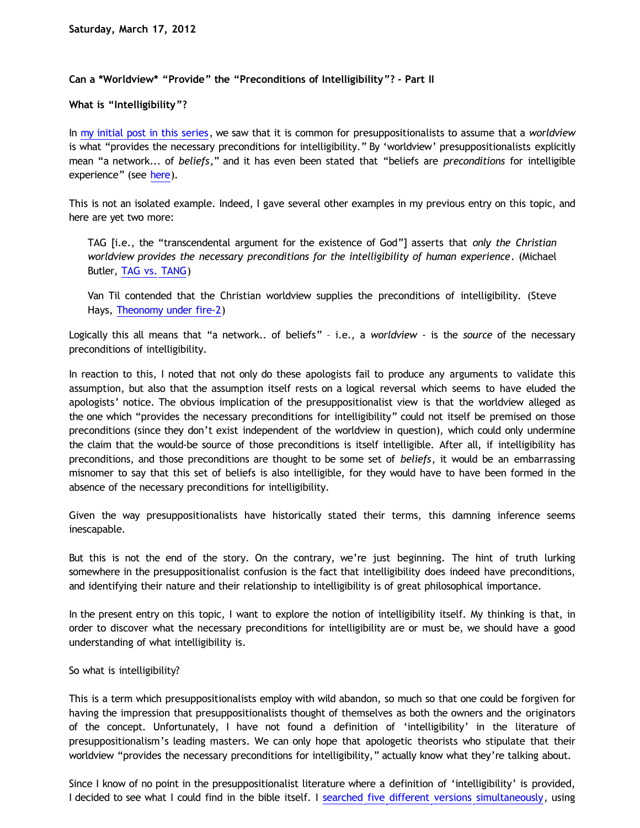## **Can a \*Worldview\* "Provide" the "Preconditions of Intelligibility"? - Part II**

**What is "Intelligibility"?**

In [my initial post in this series](http://bahnsenburner.blogspot.com/2012/03/can-worldview-provide-preconditions-of.html), we saw that it is common for presuppositionalists to assume that a *worldview* is what "provides the necessary preconditions for intelligibility." By 'worldview' presuppositionalists explicitly mean "a network... of *beliefs*," and it has even been stated that "beliefs are *preconditions* for intelligible experience" (see [here\)](http://www.choosinghats.com/2011/01/an-informal-introduction-to-covenantal-apologetics-part-12-%E2%80%93-transcendental-argumentation/).

This is not an isolated example. Indeed, I gave several other examples in my previous entry on this topic, and here are yet two more:

TAG [i.e., the "transcendental argument for the existence of God"] asserts that *only the Christian worldview provides the necessary preconditions for the intelligibility of human experience*. (Michael Butler, [TAG vs. TANG](http://www.reformed.org/master/index.html?mainframe=/apologetics/martin/pen896.html))

Van Til contended that the Christian worldview supplies the preconditions of intelligibility. (Steve Hays, [Theonomy under fire-2](http://triablogue.blogspot.com/2005/07/theonomy-under-fire-2.html))

Logically this all means that "a network.. of beliefs" – i.e., a *worldview* - is the *source* of the necessary preconditions of intelligibility.

In reaction to this, I noted that not only do these apologists fail to produce any arguments to validate this assumption, but also that the assumption itself rests on a logical reversal which seems to have eluded the apologists' notice. The obvious implication of the presuppositionalist view is that the worldview alleged as the one which "provides the necessary preconditions for intelligibility" could not itself be premised on those preconditions (since they don't exist independent of the worldview in question), which could only undermine the claim that the would-be source of those preconditions is itself intelligible. After all, if intelligibility has preconditions, and those preconditions are thought to be some set of *beliefs*, it would be an embarrassing misnomer to say that this set of beliefs is also intelligible, for they would have to have been formed in the absence of the necessary preconditions for intelligibility.

Given the way presuppositionalists have historically stated their terms, this damning inference seems inescapable.

But this is not the end of the story. On the contrary, we're just beginning. The hint of truth lurking somewhere in the presuppositionalist confusion is the fact that intelligibility does indeed have preconditions, and identifying their nature and their relationship to intelligibility is of great philosophical importance.

In the present entry on this topic, I want to explore the notion of intelligibility itself. My thinking is that, in order to discover what the necessary preconditions for intelligibility are or must be, we should have a good understanding of what intelligibility is.

So what is intelligibility?

This is a term which presuppositionalists employ with wild abandon, so much so that one could be forgiven for having the impression that presuppositionalists thought of themselves as both the owners and the originators of the concept. Unfortunately, I have not found a definition of 'intelligibility' in the literature of presuppositionalism's leading masters. We can only hope that apologetic theorists who stipulate that their worldview "provides the necessary preconditions for intelligibility," actually know what they're talking about.

Since I know of no point in the presuppositionalist literature where a definition of 'intelligibility' is provided, I decided to see what I could find in the bible itself. I [searched five different versions simultaneously](http://www.biblegateway.com/keyword/?search=intelligib&version1=8&version2=48&version3=46&version4=47&version5=49&searchtype=all&bookset=2), using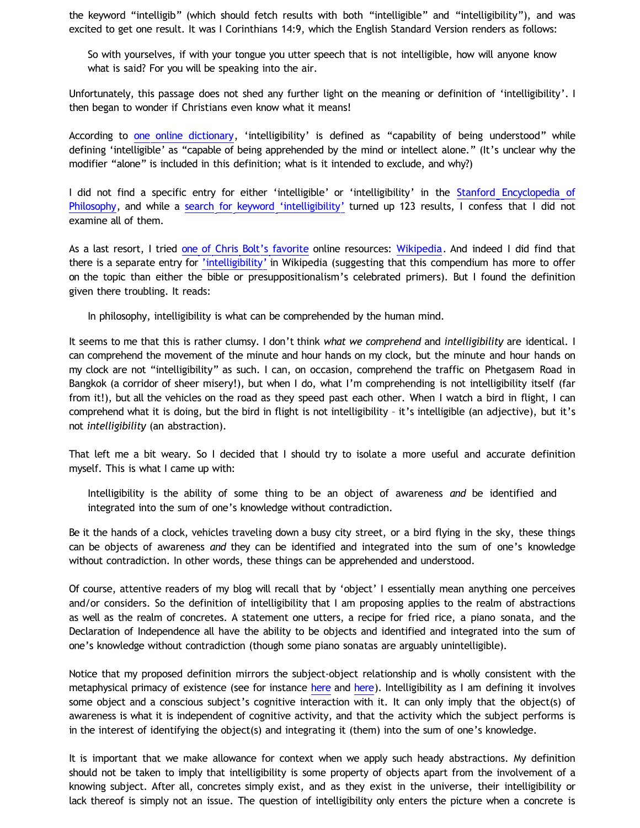the keyword "intelligib" (which should fetch results with both "intelligible" and "intelligibility"), and was excited to get one result. It was I Corinthians 14:9, which the English Standard Version renders as follows:

So with yourselves, if with your tongue you utter speech that is not intelligible, how will anyone know what is said? For you will be speaking into the air.

Unfortunately, this passage does not shed any further light on the meaning or definition of 'intelligibility'. I then began to wonder if Christians even know what it means!

According to [one online dictionary](http://dictionary.reference.com/browse/intelligibility?s=t), 'intelligibility' is defined as "capability of being understood" while defining 'intelligible' as "capable of being apprehended by the mind or intellect alone." (It's unclear why the modifier "alone" is included in this definition; what is it intended to exclude, and why?)

I did not find a specific entry for either 'intelligible' or 'intelligibility' in the [Stanford Encyclopedia of](http://plato.stanford.edu/contents.html) [Philosophy,](http://plato.stanford.edu/contents.html) and while a [search for keyword](http://plato.stanford.edu/search/searcher.py?query=intelligibility) ['intelligibility'](http://plato.stanford.edu/search/searcher.py?query=intelligibility) turned up 123 results, I confess that I did not examine all of them.

As a last resort, I tried [one of Chris Bolt's favorite](http://www.choosinghats.com/2012/03/the-argument-from-atheistic-activism-aaa-the-achilles-heel-of-internet-atheism-revisited/) online resources: [Wikipedia.](http://en.wikipedia.org/) And indeed I did find that there is a separate entry for ['intelligibility'](http://en.wikipedia.org/wiki/Intelligibility_(philosophy)) in Wikipedia (suggesting that this compendium has more to offer on the topic than either the bible or presuppositionalism's celebrated primers). But I found the definition given there troubling. It reads:

In philosophy, intelligibility is what can be comprehended by the human mind.

It seems to me that this is rather clumsy. I don't think *what we comprehend* and *intelligibility* are identical. I can comprehend the movement of the minute and hour hands on my clock, but the minute and hour hands on my clock are not "intelligibility" as such. I can, on occasion, comprehend the traffic on Phetgasem Road in Bangkok (a corridor of sheer misery!), but when I do, what I'm comprehending is not intelligibility itself (far from it!), but all the vehicles on the road as they speed past each other. When I watch a bird in flight, I can comprehend what it is doing, but the bird in flight is not intelligibility – it's intelligible (an adjective), but it's not *intelligibility* (an abstraction).

That left me a bit weary. So I decided that I should try to isolate a more useful and accurate definition myself. This is what I came up with:

Intelligibility is the ability of some thing to be an object of awareness *and* be identified and integrated into the sum of one's knowledge without contradiction.

Be it the hands of a clock, vehicles traveling down a busy city street, or a bird flying in the sky, these things can be objects of awareness *and* they can be identified and integrated into the sum of one's knowledge without contradiction. In other words, these things can be apprehended and understood.

Of course, attentive readers of my blog will recall that by 'object' I essentially mean anything one perceives and/or considers. So the definition of intelligibility that I am proposing applies to the realm of abstractions as well as the realm of concretes. A statement one utters, a recipe for fried rice, a piano sonata, and the Declaration of Independence all have the ability to be objects and identified and integrated into the sum of one's knowledge without contradiction (though some piano sonatas are arguably unintelligible).

Notice that my proposed definition mirrors the subject-object relationship and is wholly consistent with the metaphysical primacy of existence (see for instance [here](http://katholon.com/poe.htm) and [here](http://bahnsenburner.blogspot.com/2009/07/chris-bolt-on-conditions-of-knowledge.html)). Intelligibility as I am defining it involves some object and a conscious subject's cognitive interaction with it. It can only imply that the object(s) of awareness is what it is independent of cognitive activity, and that the activity which the subject performs is in the interest of identifying the object(s) and integrating it (them) into the sum of one's knowledge.

It is important that we make allowance for context when we apply such heady abstractions. My definition should not be taken to imply that intelligibility is some property of objects apart from the involvement of a knowing subject. After all, concretes simply exist, and as they exist in the universe, their intelligibility or lack thereof is simply not an issue. The question of intelligibility only enters the picture when a concrete is